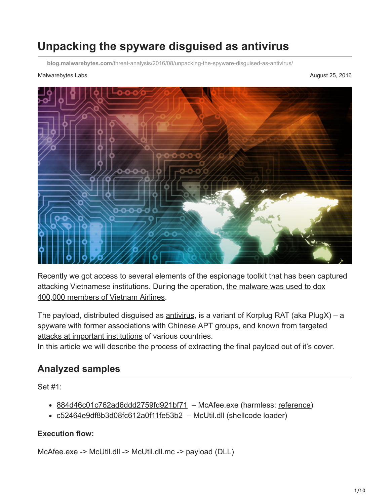# **Unpacking the spyware disguised as antivirus**

**blog.malwarebytes.com**[/threat-analysis/2016/08/unpacking-the-spyware-disguised-as-antivirus/](https://blog.malwarebytes.com/threat-analysis/2016/08/unpacking-the-spyware-disguised-as-antivirus/)

#### Malwarebytes Labs **August 25, 2016** Number 20, 2016



Recently we got access to several elements of the espionage toolkit that has been captured [attacking Vietnamese institutions. During the operation, the malware was used to dox](http://www.scmagazine.com/report-spyware-used-to-dox-vietnam-airlines-is-lurking-in-other-vietnamese-institutions/article/515310/) 400,000 members of Vietnam Airlines.

The payload, distributed disguised as [antivirus](https://www.malwarebytes.com/antivirus/), is a variant of Korplug RAT (aka PlugX) – a [spyware with former associations with Chinese APT groups, and known from targeted](http://www.welivesecurity.com/2014/11/12/korplug-military-targeted-attacks-afghanistan-tajikistan/) attacks at important institutions of various countries.

In this article we will describe the process of extracting the final payload out of it's cover.

#### **Analyzed samples**

Set #1:

- [884d46c01c762ad6ddd2759fd921bf71](https://www.virustotal.com/en/file/3124fcb79da0bdf9d0d1995e37b06f7929d83c1c4b60e38c104743be71170efe/analysis/)  McAfee.exe (harmless: [reference\)](http://systemexplorer.net/file-database/file/mcoemcpy-exe/738062)
- [c52464e9df8b3d08fc612a0f11fe53b2](https://www.virustotal.com/en/file/31aee6c1c0d6c249ea2a0a603af877abcd11f41338b2a50b1c80c42eef1faad1/analysis/)  McUtil.dll (shellcode loader)

#### **Execution flow:**

McAfee.exe -> McUtil.dll -> McUtil.dll.mc -> payload (DLL)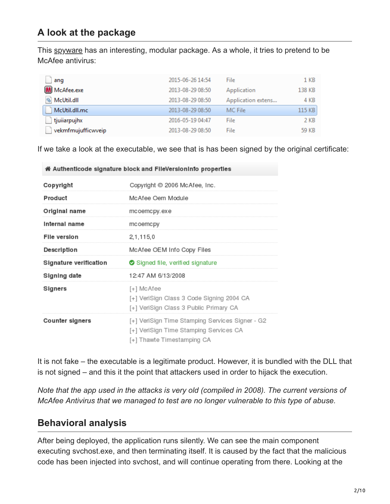### **A look at the package**

This [spyware](https://www.malwarebytes.com/spyware/) has an interesting, modular package. As a whole, it tries to pretend to be McAfee antivirus:

| ang                | 2015-06-26 14:54 | File               | 1 KB   |
|--------------------|------------------|--------------------|--------|
| M McAfee.exe       | 2013-08-29 08:50 | Application        | 138 KB |
| McUtil.dll         | 2013-08-29 08:50 | Application extens | 4 KB   |
| McUtil.dll.mc      | 2013-08-29 08:50 | MC File            | 115 KB |
| tjuiiarpujhx       | 2016-05-19 04:47 | File               | 2 KB   |
| vekmfmujufficwveip | 2013-08-29 08:50 | File               | 59 KB  |

If we take a look at the executable, we see that is has been signed by the original certificate:

| ia Authenticode signature block and FileVersionInfo properties |                                                                                                                         |  |  |  |  |  |  |  |
|----------------------------------------------------------------|-------------------------------------------------------------------------------------------------------------------------|--|--|--|--|--|--|--|
| Copyright                                                      | Copyright © 2006 McAfee, Inc.                                                                                           |  |  |  |  |  |  |  |
| Product                                                        | McAfee Oem Module                                                                                                       |  |  |  |  |  |  |  |
| Original name                                                  | mcoemcpy.exe                                                                                                            |  |  |  |  |  |  |  |
| Internal name                                                  | mcoemcpy                                                                                                                |  |  |  |  |  |  |  |
| <b>File version</b>                                            | 2, 1, 115, 0                                                                                                            |  |  |  |  |  |  |  |
| Description                                                    | McAfee OEM Info Copy Files                                                                                              |  |  |  |  |  |  |  |
| Signature verification                                         | Signed file, verified signature                                                                                         |  |  |  |  |  |  |  |
| Signing date                                                   | 12:47 AM 6/13/2008                                                                                                      |  |  |  |  |  |  |  |
| Signers                                                        | [+] McAfee<br>[+] VeriSign Class 3 Code Signing 2004 CA<br>[+] VeriSign Class 3 Public Primary CA                       |  |  |  |  |  |  |  |
| <b>Counter signers</b>                                         | [+] VeriSign Time Stamping Services Signer - G2<br>[+] VeriSign Time Stamping Services CA<br>[+] Thawte Timestamping CA |  |  |  |  |  |  |  |

It is not fake – the executable is a legitimate product. However, it is bundled with the DLL that is not signed – and this it the point that attackers used in order to hijack the execution.

*Note that the app used in the attacks is very old (compiled in 2008). The current versions of McAfee Antivirus that we managed to test are no longer vulnerable to this type of abuse.*

### **Behavioral analysis**

After being deployed, the application runs silently. We can see the main component executing svchost.exe, and then terminating itself. It is caused by the fact that the malicious code has been injected into svchost, and will continue operating from there. Looking at the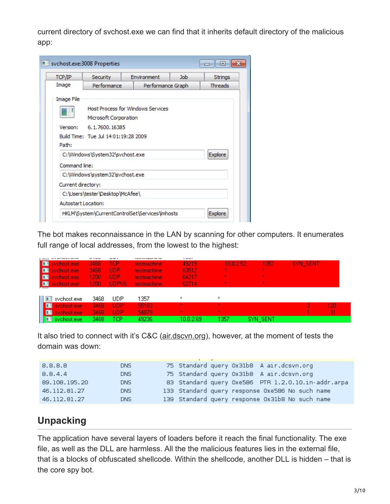current directory of svchost.exe we can find that it inherits default directory of the malicious app:

| svchost.exe:3008 Properties |                                                                  |  |                   | 同<br>$\overline{\phantom{a}}$ |  |  |  |  |  |  |  |
|-----------------------------|------------------------------------------------------------------|--|-------------------|-------------------------------|--|--|--|--|--|--|--|
| TCP/IP                      | <b>Security</b><br><b>Environment</b><br><b>Job</b><br>Strings   |  |                   |                               |  |  |  |  |  |  |  |
| Image                       | Performance                                                      |  | Performance Graph | <b>Threads</b>                |  |  |  |  |  |  |  |
| Image File                  |                                                                  |  |                   |                               |  |  |  |  |  |  |  |
|                             | Host Process for Windows Services<br>Microsoft Corporation       |  |                   |                               |  |  |  |  |  |  |  |
| Version:                    | 6.1.7600.16385                                                   |  |                   |                               |  |  |  |  |  |  |  |
|                             | Build Time: Tue Jul 14 01:19:28 2009                             |  |                   |                               |  |  |  |  |  |  |  |
| Path:                       |                                                                  |  |                   |                               |  |  |  |  |  |  |  |
|                             | C:\Windows\System32\svchost.exe                                  |  |                   | <b>Explore</b>                |  |  |  |  |  |  |  |
| Command line:               |                                                                  |  |                   |                               |  |  |  |  |  |  |  |
|                             | C:\Windows\system32\svchost.exe                                  |  |                   |                               |  |  |  |  |  |  |  |
|                             | Current directory:                                               |  |                   |                               |  |  |  |  |  |  |  |
|                             | C:\Users\tester\Desktop\McAfee\                                  |  |                   |                               |  |  |  |  |  |  |  |
|                             | Autostart Location:                                              |  |                   |                               |  |  |  |  |  |  |  |
|                             | HKLM\System\CurrentControlSet\Services\Imhosts<br><b>Explore</b> |  |                   |                               |  |  |  |  |  |  |  |

The bot makes reconnaissance in the LAN by scanning for other computers. It enumerates full range of local addresses, from the lowest to the highest:

| <b>MIND NAME WITH</b>     | - -  | ---               | ssessor maser in ne |                           |                |                |          |     |
|---------------------------|------|-------------------|---------------------|---------------------------|----------------|----------------|----------|-----|
| sychost.exe               | 3468 | TCP               | <b>testmachine</b>  | 49219                     | 10.0.2.52      | 1357           | SYN_SENT |     |
| <b>FOR</b><br>sychost.exe | 3468 | UDP               | testmachine         | 63512                     | $\mathbf{x}$ . | $\mathbf{x}$ . |          |     |
| <b>FOR</b><br>sychost.exe | 1200 | UDP               | <b>testmachine</b>  | 64217                     | $\mathbf{x}$   | $\mathbf{x}$ . |          |     |
| 画<br>sychost.exe          | 1200 | UDPV <sub>6</sub> | <b>testmachine</b>  | 62714                     | $\mathbf{x}$   | $\mathbf{x}$ . |          |     |
| __                        |      |                   |                     |                           |                |                |          |     |
| svchost.exe<br>围          | 3468 | UDP               | 1357                | $\boldsymbol{\mathsf{x}}$ | ×              |                |          |     |
| sychost.exe               | 3468 | <b>UDP</b>        | 55183               | $\mathbf{x}$              | ×.             |                |          | 120 |
| sychost.exe.<br>œ         | 3468 | <b>UDP</b>        | 54879               | ×                         | ×.             |                |          | 31  |
| <b>THE sychost.exe</b>    | 3468 | TCP               | 49236               | 10.0.2.69                 | 1357           | SYN SENT       |          |     |

It also tried to connect with it's C&C ([air.dscvn.org\)](https://www.threatcrowd.org/domain.php?domain=air.dcsvn.org), however, at the moment of tests the domain was down:

| 8.8.8.8       | DNS.       | 75 Standard query 0x31b8 A air.dcsvn.org           |
|---------------|------------|----------------------------------------------------|
| 8.8.4.4       | <b>DNS</b> | 75 Standard query 0x31b8 A air.dcsvn.org           |
| 89.108.195.20 | <b>DNS</b> | 83 Standard query 0xe586 PTR 1.2.0.10.in-addr.arpa |
| 46.112.81.27  | <b>DNS</b> | 133 Standard query response 0xe586 No such name    |
| 46.112.81.27  | <b>DNS</b> | 139 Standard query response 0x31b8 No such name    |

# **Unpacking**

The application have several layers of loaders before it reach the final functionality. The exe file, as well as the DLL are harmless. All the the malicious features lies in the external file, that is a blocks of obfuscated shellcode. Within the shellcode, another DLL is hidden – that is the core spy bot.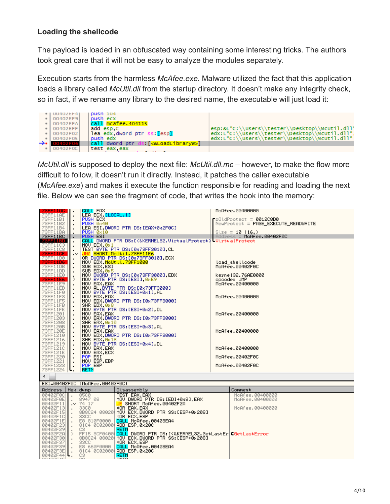#### **Loading the shellcode**

The payload is loaded in an obfuscated way containing some interesting tricks. The authors took great care that it will not be easy to analyze the modules separately.

Execution starts from the harmless *McAfee.exe*. Malware utilized the fact that this application loads a library called *McUtil.dll* from the startup directory. It doesn't make any integrity check, so in fact, if we rename any library to the desired name, the executable will just load it:



*McUtil.dll* is supposed to deploy the next file: *McUtil.dll.mc* – however, to make the flow more difficult to follow, it doesn't run it directly. Instead, it patches the caller executable (*McAfee.exe*) and makes it execute the function responsible for reading and loading the next file. Below we can see the fragment of code, that writes the hook into the memory:

| 73FF11AC   .                     | CALL EAX                                                            |                                                                     | McAfee.00400000                               |  |  |  |  |
|----------------------------------|---------------------------------------------------------------------|---------------------------------------------------------------------|-----------------------------------------------|--|--|--|--|
| 73FF11AE<br>73FF11B1             | LEA ECX. LLOCAL. 11<br>$\blacksquare$<br>PUSH ECX<br>$\blacksquare$ |                                                                     | $\Gamma$ pOldProtect = 0012C8D0               |  |  |  |  |
| 73FF11B2                         | PUSH 0x40<br>$\blacksquare$                                         |                                                                     | NewProtect = PAGE_EXECUTE_READWRITE           |  |  |  |  |
| 73FF11B4                         | $\blacksquare$                                                      | LEA ESI, DWORD PTR DS: [EAX+0x2F0C]                                 |                                               |  |  |  |  |
| 73FF11BA<br>73FF11BC             | PUSH 0x10<br><b>PUSH ESI</b>                                        |                                                                     | Size = $10(16.)$<br>Address = McAfee.00402F0C |  |  |  |  |
|                                  | $\blacksquare$                                                      | CALL DWORD PTR DS: [<&KERNEL32. VirtualProtect) UirtualProtect      |                                               |  |  |  |  |
| 7355130<br>73FF11C3<br>73FF11C8  | MOU ECX, 0x1<br>$\blacksquare$                                      |                                                                     |                                               |  |  |  |  |
| 73FF11C8                         |                                                                     | TEST BYTE PTR DS: [0x73FF3010], CL                                  |                                               |  |  |  |  |
| 73FF11CE<br>73FF11D0             | $\cdot^{\vee}$                                                      | UNZ SHORT MoUt il. 73FF11E6<br>OR DWORD PTR DS: [0x73FF3010], ECX   |                                               |  |  |  |  |
| 73FF11D6                         | $\blacksquare$                                                      | MOV EDX, McUtil.73FF1000                                            | load_shellcode                                |  |  |  |  |
| 73FF11DB                         | SUB EDX, ESI<br>SUB EDX, 0x5<br>$\blacksquare$                      |                                                                     | McAfee.00402F0C                               |  |  |  |  |
| 73FF11DD<br>73FF11E0             |                                                                     | MOV DWORD PTR DS: [0x73FF3000], EDX                                 | kerne132.76AE0000                             |  |  |  |  |
| 73FF11E6                         | >                                                                   | MOU BYTE PTR DS: LESIJ, 0xE9                                        | opcode: JMP                                   |  |  |  |  |
| 73FF11E9                         | MOV EAX, EAX<br>$\blacksquare$                                      |                                                                     | McAfee.00400000                               |  |  |  |  |
| 73FF11EB                         | $\blacksquare$                                                      | MOV AL, BYTE PTR DS: [0x73FF3000]                                   |                                               |  |  |  |  |
| 73FF11F0<br>73FF11F3             | $\blacksquare$<br>MOU EAX, EAX                                      | MOV BYTE PTR DS: [ESI+0x1], AL                                      | McAfee.00400000                               |  |  |  |  |
| 73FF11F5                         | $\blacksquare$<br>$\blacksquare$                                    | MOV EDX DWORD PTR DS: [0x73FF3000]                                  |                                               |  |  |  |  |
| 73FF11FB                         | SHR EDX, 0x8<br>$\blacksquare$                                      |                                                                     |                                               |  |  |  |  |
| 73FF11FE                         | $\blacksquare$                                                      | MOU BYTE PTR DS: [ESI+0x2], DL                                      | McAfee.00400000                               |  |  |  |  |
| 73FF1201<br>73FF1203             | MOV EAX, EAX<br>$\blacksquare$<br>$\blacksquare$                    | MOV EAX, DWORD PTR DS: [0x73FF3000]                                 |                                               |  |  |  |  |
| 73FF1208                         | SHR EAX, 0x10<br>$\blacksquare$                                     |                                                                     |                                               |  |  |  |  |
| 73FF120B                         | $\blacksquare$                                                      | MOV BYTE PTR DS:[ESI+0x3].AL                                        |                                               |  |  |  |  |
| 73FF120E<br>73FF1210             | MOV EAX, EAX<br>$\blacksquare$<br>$\blacksquare$                    | MOV EDX DWORD PTR DS: [0x73FF3000]                                  | McAfee.00400000                               |  |  |  |  |
| 73FF1216                         | SHR EDX, 0x18<br>$\blacksquare$                                     |                                                                     |                                               |  |  |  |  |
| 73FF1219                         | $\blacksquare$                                                      | MOV BYTE PTR DS: [ESI+0x4], DL                                      |                                               |  |  |  |  |
| 73FF1210<br>73FF121E             | MOV EAX, EAX<br>$\cdot$<br>MOV EAX, ECX                             |                                                                     | McAfee.00400000                               |  |  |  |  |
| 73FF1220                         | $\blacksquare$<br>POP ESI<br>$\blacksquare$                         |                                                                     | McAfee.00402F0C                               |  |  |  |  |
| 73FF1221                         | MOU ESP, EBP<br>$\cdot$                                             |                                                                     |                                               |  |  |  |  |
| 73FF1223<br>73FF1224             | POP EBP<br>$\cdot$                                                  |                                                                     | McAfee.00402F0C                               |  |  |  |  |
|                                  | <b>RETN</b><br>ι.                                                   |                                                                     |                                               |  |  |  |  |
| ◀                                |                                                                     |                                                                     |                                               |  |  |  |  |
|                                  | ESI=00402F0C (McAfee.00402F0C)                                      |                                                                     |                                               |  |  |  |  |
| Address   Hex dump               |                                                                     | Disassembly                                                         | Comment                                       |  |  |  |  |
| 00402F0C                         | 85C0                                                                | TEST EAX.EAX                                                        | McAfee.00400000                               |  |  |  |  |
| 00402F0E  .<br>00402F11  > 74 17 | 8947 08                                                             | MOV DWORD PTR DS: [EDI+0x8], EAX<br>UE SHORT McAfee.00402F2A        | McAfee.00400000                               |  |  |  |  |
| $00402F13$ .                     | 33C0                                                                | XOR EAX, EAX                                                        | McAfee.00400000                               |  |  |  |  |
| 00402F15  <b> </b> .             |                                                                     | 8B8C24 08020 MOV ECX,DWORD PTR SS:[ESP+0x208]                       |                                               |  |  |  |  |
| 00402F1C<br>00402F1E             | 33CC<br>E8 810F0000                                                 | XOR ECX, ESP                                                        |                                               |  |  |  |  |
| 00402F23                         |                                                                     | CALL McAfee.00403EA4<br>8104 0002000 ADD ESP, 0x200                 |                                               |  |  |  |  |
| 00402F29H                        | C3.                                                                 | RETN                                                                |                                               |  |  |  |  |
| 00402F2A   >                     |                                                                     | FF15 3CF0400 CALL DWORD PTR DS: [<&KERNEL32.GetLastEriCGetLastError |                                               |  |  |  |  |
| 00402F30<br>00402F37             | <b>33CC</b>                                                         | 8B8C24 08020 MOV ECX, DWORD PTR SS: [ESP+0x208]<br>XOR ECX, ESP     |                                               |  |  |  |  |
| 00402F39                         | E8 660F0000                                                         | CALL McAfee.00403EA4                                                |                                               |  |  |  |  |
| 00402F3E                         |                                                                     | 8104 0002000 ADD ESP, 0x200                                         |                                               |  |  |  |  |
| $90402F44$ .                     | C3<br>CO <sup>2</sup>                                               | RETN                                                                |                                               |  |  |  |  |
|                                  |                                                                     |                                                                     |                                               |  |  |  |  |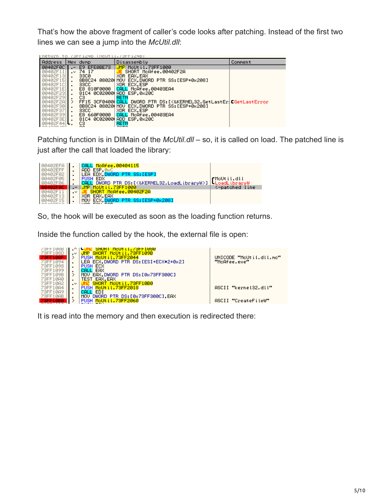That's how the above fragment of caller's code looks after patching. Instead of the first two lines we can see a jump into the *McUtil.dll*:

| UNCUTIL.75FFIZ4BJ<br>SFF1246 |                |             |                                               |         |  |  |  |  |  |  |  |
|------------------------------|----------------|-------------|-----------------------------------------------|---------|--|--|--|--|--|--|--|
| Address                      |                | Hex dump    | Disassembly                                   | Comment |  |  |  |  |  |  |  |
| 00402F0C                     |                | E9 EFEØBE73 | JMP McUtil.73FF1000                           |         |  |  |  |  |  |  |  |
| 00402F11                     | $\sim$         | 74 17       | SHORT McAfee.00402F2A                         |         |  |  |  |  |  |  |  |
| 00402F13                     |                | 33CØ        | XOR EAX.EAX                                   |         |  |  |  |  |  |  |  |
| 00402F15                     | $\blacksquare$ |             | 8B8C24 08020(MOV ECX,DWORD PTR SS:[ESP+0x208] |         |  |  |  |  |  |  |  |
| 00402F1C                     |                | 33CC        | XOR ECX.ESP                                   |         |  |  |  |  |  |  |  |
| 00402F1E                     |                |             | E8 810F0000 CALL McAfee.00403EA4              |         |  |  |  |  |  |  |  |
| 00402F23                     |                |             | 81C4 8C82888 ADD ESP.8x28C                    |         |  |  |  |  |  |  |  |
| 00402F29                     |                | сз          | RETN                                          |         |  |  |  |  |  |  |  |
| 00402F2AI                    |                |             |                                               |         |  |  |  |  |  |  |  |
| 00402F30                     |                |             | 8B8C24 08020(MOV ECX,DWORD PTR SS:[ESP+0x208] |         |  |  |  |  |  |  |  |
| 00402F37                     |                | 33CC        | XOR ECX.ESP                                   |         |  |  |  |  |  |  |  |
| 00402F39                     |                | E8 660F0000 | CALL McAfee.00403EA4                          |         |  |  |  |  |  |  |  |
| 00402F3E                     |                |             | 81C4 0C02000 ADD ESP.0x20C                    |         |  |  |  |  |  |  |  |
| 00402F44                     |                | cз<br>--    | RETN<br>7.17.7                                |         |  |  |  |  |  |  |  |

Patching function is in DllMain of the *McUtil.dll* – so, it is called on load. The patched line is just after the call that loaded the library:

| 00402EFA<br>00402EFF<br>00402F02 |                        | McAfee.00404115<br>ADD ESP, 0xC<br>LEA EDX DWORD PTR SS:[ESP]                  |                                                          |
|----------------------------------|------------------------|--------------------------------------------------------------------------------|----------------------------------------------------------|
| 00402F05<br>00402F06             |                        | PUSH EDX<br>DWORD PTR DS: [<&KERNEL32.LoadLibraryW>]<br>MoUt il.73FF1000       | rMoUtil.dll<br><b>LoadLibraryW</b><br>(-patched-<br>line |
| 00402F1<br>00402F13<br>00402F15  | $\cdot$ $\cdot$<br>. . | SHORT McAfee.00402F2A<br>XOR EAX, EAX<br>ECX DWORD PTR SS: [ESP+0x208]<br>MOV. |                                                          |

So, the hook will be executed as soon as the loading function returns.

Inside the function called by the hook, the external file is open:



It is read into the memory and then execution is redirected there: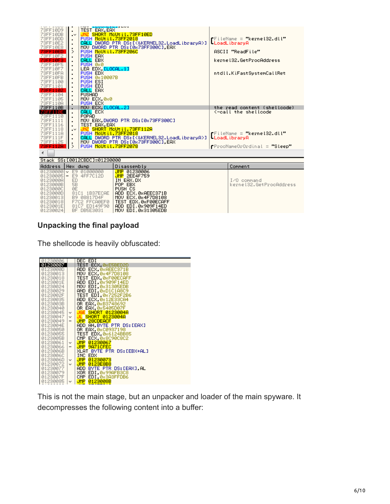| TANT TANK MARK<br>73FF10D9<br>73FF10DB<br>73FF10DD<br>73FF10E2<br>73FF10E8<br>73FF10ED<br>73FF10F2<br><b>73FF10F3</b><br>73FF10F5<br>73FF10F7<br>73FF10FA<br>73FF10FB<br>73FF1100<br>73FF1101<br><b>73FF1102</b><br>73FF1104<br>73FF1105<br>73FF110A | <b>TEST EAX, EAX</b><br>٠<br>$\cdot^{\vee}$<br>٠<br>$\blacksquare$<br>$\blacksquare$<br>PUSH MoUt il.73FF206C<br>⋋<br>PUSH EAX<br>٠<br>CALL EBX<br>$\blacksquare$<br>PUSH 0x0<br>$\blacksquare$<br>LEA EDX, [LOCAL.1]<br>$\blacksquare$<br>PUSH EDX<br>$\blacksquare$<br>PUSH 0x10007B<br>$\blacksquare$<br>PUSH ESI<br>PUSH EDI<br>$\blacksquare$<br>CALL EAX<br>$\blacksquare$<br><b>PUSHAD</b><br>$\blacksquare$<br>MOU ECX, 0x0<br>PUSH ECX<br>$\blacksquare$ | $-$<br><mark>UNZ SHORT MeUtil.73FF10ED</mark><br>PUSH MeUtil.73FF2018<br>CALL DWORD PTR DS:[<&KERNEL32.LoadLibraryA>]<br>MOV DWORD PTR DS:[0x73FF300C],EAX                                 | $\blacksquare$ FileName = "kernel $32.$ dll"<br>-LoadLibraryA<br>ASCII "ReadFile"<br>kernel32.GetProcAddress<br>ntdll.KiFastSystemCallRet |  |  |  |  |
|------------------------------------------------------------------------------------------------------------------------------------------------------------------------------------------------------------------------------------------------------|-------------------------------------------------------------------------------------------------------------------------------------------------------------------------------------------------------------------------------------------------------------------------------------------------------------------------------------------------------------------------------------------------------------------------------------------------------------------|--------------------------------------------------------------------------------------------------------------------------------------------------------------------------------------------|-------------------------------------------------------------------------------------------------------------------------------------------|--|--|--|--|
| 73FF110B                                                                                                                                                                                                                                             | MOV ECX, ELOCAL.23                                                                                                                                                                                                                                                                                                                                                                                                                                                |                                                                                                                                                                                            | the read content (shellcode)                                                                                                              |  |  |  |  |
| 73FF110E<br>73FF1110<br>73FF1111<br>73FF1116<br>73FF1118<br>73FF111A<br>73FF111F<br>73FF1125<br>73FF112A                                                                                                                                             | CALL ECX<br>$\blacksquare$<br>POPAD<br>$\blacksquare$<br>$\blacksquare$<br>TEST EAX, EAX<br>٠<br>$\sim$<br>PUSH McUtil.73FF2018<br>٠<br>PUSH McUtil.73FF2078<br>>                                                                                                                                                                                                                                                                                                 | MOV EAX DWORD PTR DS:[0x73FF300C]<br>UNZ SHORT MoUtil.73FF112A<br>CALL DWORD PTR DS:[<&KERNEL32.LoadLibraryA>]<br>MOV DWORD PTR DS:[0x73FF300C],EAX                                        | <-call the shellcode<br>∎FileName = "kernel32.dll"<br>LoadLibraryA<br><b>rProcNameOrOrdinal = "Sleep"</b>                                 |  |  |  |  |
| ∢                                                                                                                                                                                                                                                    |                                                                                                                                                                                                                                                                                                                                                                                                                                                                   |                                                                                                                                                                                            |                                                                                                                                           |  |  |  |  |
|                                                                                                                                                                                                                                                      | Stack SS: [0012CBDC]=01230000                                                                                                                                                                                                                                                                                                                                                                                                                                     |                                                                                                                                                                                            |                                                                                                                                           |  |  |  |  |
| <b>Address</b>                                                                                                                                                                                                                                       | Hex dump                                                                                                                                                                                                                                                                                                                                                                                                                                                          | Disassembly                                                                                                                                                                                | Comment                                                                                                                                   |  |  |  |  |
| 0123000A<br>0123000B<br>0123000C<br>0123000D<br>01230013<br>01230018<br>0123001E<br>01230024                                                                                                                                                         | $01230000 \sim E901000000$<br>01230005 - E9 4FF7C12D<br>ED<br>5B<br>ØE<br>81C1 1B37ECAE<br>B9 08817D4F<br>F7C2 FFCA0EF0<br>81C7 ED149F90<br>BF DB5E3031                                                                                                                                                                                                                                                                                                           | JMP 01230006<br><b>JMP 2EE4F759</b><br>IN EAX, DX<br>POP EBX<br>PUSH CS<br>ADD ECX, ØxAEEC371B<br>MOU ECX, 0x4F7D8108<br>TEST EDX, 0xF00ECAFF<br>ADD EDI, 0x909F14ED<br>MOV EDI.0x31305EDB | I/O command<br>kernel32.GetProcAddress                                                                                                    |  |  |  |  |

#### **Unpacking the final payload**

The shellcode is heavily obfuscated:

| 01230006        |                          | DEC EDI                    |
|-----------------|--------------------------|----------------------------|
| 01230007        |                          | TEST ECX.0xE5BED2D         |
| <b>0123000D</b> |                          | ADD ECX 0xAEEC371B         |
| 01230013        |                          | MOV ECX 0x4F7D8108         |
| 01230018        |                          | TEST EDX.0xF00ECAFF        |
| 0123001E        |                          | ADD EDI.0x909F14ED         |
| 01230024        |                          | MOV EDI.0x31305EDB         |
| 01230029        |                          | AND EDI 0xD1C1A8C9         |
| 0123002F        |                          | TEST EDI.0x7252F2B6        |
| 01230035        |                          | ADD ECX 0812E33CA4         |
| 0123003B        |                          | OR EAX 0xB3748692          |
| 01230040        |                          | OR EAX 0x5405D07F          |
| 01230045        | v                        | <b>JGE SHORT 0123004A</b>  |
| 01230047        | v.                       | <b>JL SHORT 0123004A</b>   |
| 01230049        | $\overline{\phantom{a}}$ | JMP 28CDEACF               |
| 0123004E        |                          | ADD AH.BYTE PTR DS:[EAX]   |
| 01230050        |                          | OR EAX, 0xC0937198         |
| 01230055        |                          | TEST EDX, 0x6124BB85       |
| 0123005B        |                          | CMP ECX 0x8C90C8C2         |
| 01230061        | v.                       | UMP 01230067               |
| 01230066        | $\overline{\phantom{a}}$ | JMP 9A71CFEC               |
| 0123006B        |                          | XLAT BYTE PTR DS: [EBX+AL] |
| 0123006C        |                          | INC EDX                    |
| 0123006D        | v.                       | UMP 01230073               |
| 01230072        | v.                       | JMP 0123E8B8               |
| 01230077        |                          | ADD BYTE PTR DS:[EAX].AL   |
| 01230079        |                          | XOR EDI 0x99AFB3C8         |
| 0123007F        |                          | CMP EDI 0x3A3FFDB6         |
| 01230085        | v.                       | 0123008B<br>JMP .          |

This is not the main stage, but an unpacker and loader of the main spyware. It decompresses the following content into a buffer: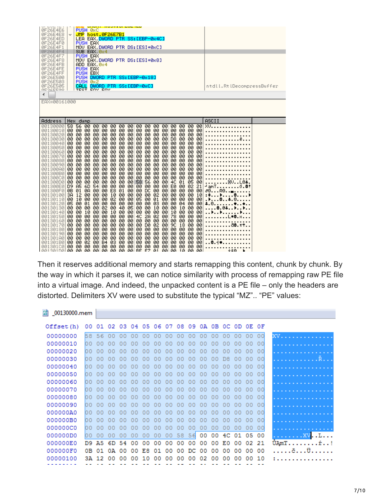| 0F26E4E6<br>0F26E4E8<br>0F26E4ED<br>0F26E4F0<br>0F26E4F1<br>0F26E4F4<br>0F26E4F7<br>0F26E4F8<br>ØF26E4FB<br>ØF26E4FE<br>0F26E4FF<br>0F26E500<br>0F26E503<br>0F26E505<br>GEDALERO<br>EAX=00161000                                                                                                                                                    | PUSH 0xC<br>JMP host.0F26E7B1<br>٧<br>LEA EAX DWORD PTR SS: [EBP-0x4C]<br>PUSH EAX<br>MOV EAX.DWORD PTR DS:[ESI+0xC]<br>SUB EAX 0x4<br><b>PUSH EAX</b><br>MOV EAX DWORD PTR DS:[ESI+0x8]<br>ADD EAX, 0x4<br>PUSH EAX<br>PUSH EBX<br>PUSH DWORD PTR SS: [EBP-0x18]<br><b>PUSH</b><br><b>Øx2</b><br>CALL<br>DWORD PTR SS: [EBP-0xC]<br><b>TECT</b><br>ENV ENV                                                                                                                                                                                                                                                                                                                                                                                                                                                                                                                                                                                                                                                                                                                                                                                                                                                                                                                                                                                                                                                                                                                                                                                                                                                                                                                                                                                                                                                                                                                                                                                                                                                                                                                                                                                                                                                                                                                                                                                                                                                                                                                                                                                                                                                                                                                                                                                      | ntdll.RtlDecompressBuffer                                                                                                                                              |
|-----------------------------------------------------------------------------------------------------------------------------------------------------------------------------------------------------------------------------------------------------------------------------------------------------------------------------------------------------|--------------------------------------------------------------------------------------------------------------------------------------------------------------------------------------------------------------------------------------------------------------------------------------------------------------------------------------------------------------------------------------------------------------------------------------------------------------------------------------------------------------------------------------------------------------------------------------------------------------------------------------------------------------------------------------------------------------------------------------------------------------------------------------------------------------------------------------------------------------------------------------------------------------------------------------------------------------------------------------------------------------------------------------------------------------------------------------------------------------------------------------------------------------------------------------------------------------------------------------------------------------------------------------------------------------------------------------------------------------------------------------------------------------------------------------------------------------------------------------------------------------------------------------------------------------------------------------------------------------------------------------------------------------------------------------------------------------------------------------------------------------------------------------------------------------------------------------------------------------------------------------------------------------------------------------------------------------------------------------------------------------------------------------------------------------------------------------------------------------------------------------------------------------------------------------------------------------------------------------------------------------------------------------------------------------------------------------------------------------------------------------------------------------------------------------------------------------------------------------------------------------------------------------------------------------------------------------------------------------------------------------------------------------------------------------------------------------------------------------------------|------------------------------------------------------------------------------------------------------------------------------------------------------------------------|
| Address<br>00130000                                                                                                                                                                                                                                                                                                                                 | Hex dump<br>58 56<br><b>ØØ</b><br><b>ØØ</b><br>00 00<br>00<br>00<br>00<br>00<br>øø<br>øø<br>øø<br>øø<br>00<br>øø                                                                                                                                                                                                                                                                                                                                                                                                                                                                                                                                                                                                                                                                                                                                                                                                                                                                                                                                                                                                                                                                                                                                                                                                                                                                                                                                                                                                                                                                                                                                                                                                                                                                                                                                                                                                                                                                                                                                                                                                                                                                                                                                                                                                                                                                                                                                                                                                                                                                                                                                                                                                                                 | ASCII<br>XV.                                                                                                                                                           |
| 001300101<br>00130020<br>001300301<br>00130040<br>00130050<br>001300601<br>001300701<br>00130080<br>00130090<br>001300A01<br>001300B0<br>00130000 <br>001300D0<br>001300E0<br>001300F0<br>00130100<br>00130110<br>00130120<br>00130130<br>00130140<br>001301501<br>00130160<br>00130170<br>00130180<br>00130190<br>001301A0<br>001301B0<br>00130100 | øø<br>00 00<br>00 00<br>00 00 00 00<br>-00<br>00<br>øø<br>00.<br>00 00<br>00<br>00 00<br>00<br>00<br>00<br>00 00<br>00<br>00 00<br>00<br>00<br>00<br>00 00<br>00<br>00 00<br>00 00<br>00 00<br>00<br>-00  <br>00 00<br>00<br>øø<br>D8.<br>00 00<br>-00<br>00 00<br>00<br>00<br>00<br>00<br>00<br>00<br>00<br>00<br>00<br>00<br>00<br>00<br>00<br>00<br>00<br>00<br>-00<br>00<br>00<br>00<br>00<br>00<br>-00<br>00<br>00<br>00<br>00<br>00<br>00<br>00<br>00<br>00<br>-00<br>00<br>00<br>00<br>00<br>00<br>-00<br>00<br>-00<br>00<br>00<br>00<br>00<br>00<br>00 00<br>00 00<br>00<br>00<br>-00<br>00<br>00<br>00<br>00<br>00<br>00<br>00<br>00<br>-00<br>00<br>-00<br>00 00<br>00<br>00 00<br>00<br>00 00<br>00<br>00<br>00 00<br>00<br>-00<br>00<br>-00<br>00<br>00<br>00<br>00<br>00<br>00<br>00<br>-00<br>00<br>00<br>00<br>00<br>00<br>00<br>00 00<br>00 00<br>00<br>00 00<br>-00<br>00 00<br>00<br>øø<br>00<br>00 00<br>-00<br>00<br>00<br>00 00<br>00<br>00<br>00<br>00<br>00<br>00<br>-00<br>00.<br>00<br>00<br>00<br>00<br>00 00<br>00 00<br>00 00<br>00 00<br>00<br>00<br>ØØ.<br>00<br>00<br>00<br>-00<br>-00<br>00 00<br>58 56<br>00<br>00<br>00<br>00<br>00<br>øø<br>ØØ.<br>00<br>4C<br>01<br>05<br>00<br>-54<br>00 00<br>D9 A5<br>6D<br>00 00<br>02<br>øø<br>00<br>00.<br>øø<br>EØ<br>00<br>21<br><b>ØB</b><br>E8 01<br>00 DC<br>-01<br>ØA<br>-00<br>00<br>øø<br>ØØ.<br>00<br>00<br>00 00<br>00<br>3A<br>10 00<br>00<br>12<br>00<br>-00<br>øø<br>00<br>00<br>02<br>00<br>00<br>00<br>-00<br>10<br>-00<br>02 00<br>-00<br>05 00<br>00 00 00<br>øø<br>10<br>øø<br>00<br>01<br>øø<br>-00<br>00 00<br>00 00<br>05<br>-00<br>01<br>00<br>00<br>00<br>03.<br>00<br>00<br>04 00<br>00<br>-00<br>02<br>00 40<br>05<br>00 00<br>10<br>00<br>-00<br>00<br>00<br>00<br>10<br>-00<br>00<br>00<br>-00<br>00<br>00<br>00<br>00<br>00<br>00<br>00<br>10<br>10<br>00<br>10<br>00<br>-00<br>00<br>00 00<br>2A<br>78<br>00 00<br>00<br>00<br>4C<br>02<br>00<br>00 00<br>00<br>00<br>-00<br>00 00<br>00<br>00 00<br>00<br>00<br>00<br>00<br>00<br>-00<br>00<br>00<br>00 00<br>-00<br>00<br>00 00<br>00<br>DØ<br>02<br>90<br>18<br>00<br>00<br>00<br>00<br>00<br>00<br>-00<br>-00<br>00 00<br>00 00<br>00<br>00 00<br>00<br>00 00<br>00<br>00<br>100 00 00 00<br>00 00<br>00<br>00 00<br>00 00<br>00 00<br>00<br>-00<br>00<br>00.<br>00<br>00<br>-00<br>00 00<br>-00<br>00 00<br>00<br>00<br>00 00<br>00<br>00<br>00 00<br>00<br>00<br>-00<br>00<br>ØЗ<br>00<br>00<br>00<br>00<br>02<br><b>B4</b><br>øø<br>00<br>øø<br>00<br>00<br>øø<br>00<br>00<br>00<br>øø<br>øø<br>øø<br>-00<br>øø<br>øø<br>øø<br>00.<br>00<br>00.<br>øø<br>øø<br>øø<br>00<br>00<br>00.00.00.<br>DE ER<br>00. OO<br>00. OO<br>-GG.<br><b>COM</b><br>GG.<br>GG.<br>-4.09<br>-GG<br>CO. | ⊠VL0 <del>1</del> .<br>'amTÓ. <b>8</b> †<br>∂0R0 <b>.</b><br>$: +++$<br>$+ 0.$<br>$.0.04$<br>. . <b>. .</b><br>L <b>*8.</b> x.<br>ae.∀↑.<br>. . 8. 1 <b>. .</b> .<br>. |

Then it reserves additional memory and starts remapping this content, chunk by chunk. By the way in which it parses it, we can notice similarity with process of remapping raw PE file into a virtual image. And indeed, the unpacked content is a PE file – only the headers are distorted. Delimiters XV were used to substitute the typical "MZ".. "PE" values:

| 50 <sub>10</sub><br>00130000.mem |            |                 |      |     |                                           |    |    |    |                 |    |    |    |    |                |    |       |       |                    |
|----------------------------------|------------|-----------------|------|-----|-------------------------------------------|----|----|----|-----------------|----|----|----|----|----------------|----|-------|-------|--------------------|
|                                  | Offset (h) | 00 <sup>o</sup> | 01.  |     | 02 03 04 05 06 07 08 09 0A 0B 0C 0D 0E 0F |    |    |    |                 |    |    |    |    |                |    |       |       |                    |
|                                  | 00000000   | 58.             | 56   | 00  | 00                                        | 00 | 00 | 00 | 00 <sub>1</sub> | 00 | 00 | 00 | 00 | 00             | 00 | 00    | 00    | XV.                |
|                                  | 00000010   | ЮO              | 00   | 00  | o٥                                        | n٥ | 00 | 00 | 00              | 00 | 00 | 00 | 00 | 00             | 00 | 00    | 00    | .                  |
|                                  | 00000020   | 00              | 00   | 00  | 00                                        | 00 | 00 | 00 | 00              | 00 | 00 | 00 | 00 | 00             | 00 | 00    | 00    |                    |
|                                  | 00000030   | 00              | 00   | 00  | 00                                        | 00 | 00 | 00 | 00              | 00 | 00 | 00 | 00 | D <sub>R</sub> | 00 | 00    | 00    | . R                |
|                                  | 00000040   | 00              | 00   | 00  | 00                                        | 00 | 00 | 00 | 00              | 00 | 00 | 00 | 00 | 00             | 00 | 00    | 00    | .                  |
|                                  | 00000050   | nn              | 00   | n٥  | n٥                                        | 00 | 00 | 00 | 00              | 00 | 00 | n٥ | 00 | 00             | 00 | 00    | 00    | .                  |
|                                  | 00000060   | ЮO              |      |     | n۵                                        | nn | 00 |    | 00              | 00 | o٥ | n٥ | 00 |                | 00 | 00    | 00    | .                  |
|                                  | 00000070   | ЮO              | 00   | o٥  | 00                                        | n٥ | 00 | 00 | 00              | 00 | 00 | 00 | 00 | 00             | 00 | 00    | 00    | .                  |
|                                  | 00000080   | 00              | 00   | nn  | 00                                        | 00 | 00 | 00 | 00              | 00 | 00 | 00 | 00 | 00             | 00 | 00    | 00    | .                  |
|                                  | 00000090   | 00              | 00   | 00  | 00                                        | 00 | 00 | 00 | 00              | 00 | 00 | 00 | 00 | 00             | 00 | 00    | 00    | .                  |
|                                  | 000000A0   | 00              | 00   | 00  | 00                                        | 00 | 00 | 00 | 00              | 00 | 00 | 00 | 00 | 00             | 00 | 00    | 00    | .                  |
|                                  | 000000B0   | O O             | 00   | n٥  | 00                                        | 00 | 00 | 00 | 00              | 00 | 00 | 00 | 00 | 00             | 00 | 00    | 00    | .                  |
|                                  | 000000C0   | nn              | 00   |     | n٥                                        | 00 | 00 | 00 | 00              | 00 | 00 | 00 | 00 | 00             | 00 | 00    | 00    | .                  |
|                                  | 000000D0   | 00              | 00   | 00  | 00                                        | 00 | 00 | 00 | 00 <sub>o</sub> | 58 | 56 | 00 | 00 | 4C             | 01 | 05 00 |       | . XV <b>. . L.</b> |
|                                  | 000000E0   | D9.             | Ά5   | 6D. | 54                                        | 00 | 00 | 00 | 00              | 00 | 00 | 00 | 00 | E0             | 00 |       | 02 21 | <u> UAmTř!</u>     |
|                                  | 000000F0   | oв              | 01   | 0A  | 00                                        | 00 | E8 | 01 | 00              | 00 | DC | 00 | 00 | 00             | 00 | 00    | 00    | . č. ü             |
|                                  | 00000100   | 3А              | - 12 | 00  | 00                                        | 00 | 10 | 00 | 00              | 00 | 00 | 02 | 00 | 00             | 00 | 00    | 10    |                    |
|                                  |            |                 |      |     |                                           |    |    |    |                 |    |    |    |    |                |    |       |       |                    |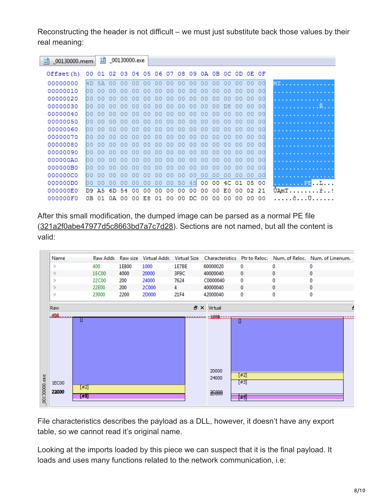Reconstructing the header is not difficult – we must just substitute back those values by their real meaning:

| 關<br>_00130000.mem |    | $\frac{F}{R_0}$ |    | _00130000.exe                                   |    |    |    |    |    |     |    |    |    |                 |                 |     |                                                        |
|--------------------|----|-----------------|----|-------------------------------------------------|----|----|----|----|----|-----|----|----|----|-----------------|-----------------|-----|--------------------------------------------------------|
| Offset (h)         |    |                 |    | 00 01 02 03 04 05 06 07 08 09 0A 0B 0C 0D 0E 0F |    |    |    |    |    |     |    |    |    |                 |                 |     |                                                        |
| 00000000           | 4D | 5A              | 00 | 00                                              | 00 | 00 | 00 | 00 | 00 | 00  | 00 | 00 | 00 | 00              | 00              | 00  | MZ                                                     |
| 00000010           | 00 | n٥              |    |                                                 |    | o٥ | nn | 00 | nn | 00  | o٥ | 00 | 00 | 00              | 00              | 00  | .                                                      |
| 00000020           | ЮO | n۵              |    |                                                 |    | n۵ | nn | nn | nn | n٥  | n۵ | n٥ |    | 00              | 00              | 00  |                                                        |
| 00000030           | 00 | n٥              | 00 |                                                 | o٥ | nn | o٥ | nn | nn | 00  | n۵ | 00 | D8 | 00              | 00              | 00  | . R                                                    |
| 00000040           | ЮO | ΩO              | 00 | 00                                              | 00 | 00 | 00 | 00 | 00 | 00  | 00 | 00 | 00 | 00 <sup>1</sup> | 00 <sup>o</sup> | 00  |                                                        |
| 00000050           | 00 | o٥              | 00 | ററ                                              | 00 | 00 | 00 | 00 | 00 | 00  | 00 | 00 | ററ | 00              | 00              | -00 |                                                        |
| 00000060           | ЮO |                 |    |                                                 | 00 | 00 | o٥ | 00 | 00 | 00  | 00 | 00 |    | 00              | 00              | 00  |                                                        |
| 00000070           | ЮO | o٥              | 00 |                                                 | nn | 00 | 00 | 00 | 00 | 00  | 00 | 00 |    | 00              | 00              | 00  |                                                        |
| 00000080           | h٥ | ററ              |    |                                                 |    | n۵ | 00 | 00 | nn | 00  | o٥ | 00 |    | 00              | 00              | 00  |                                                        |
| 00000090           | 00 | n۵              | nn |                                                 |    |    | o٥ | nn | nn | 00  | n۵ | 00 |    | 00              | 00              | 00  |                                                        |
| 000000A0           | 00 | ററ              | nn |                                                 | nn | nn | nn | nn | 00 | 00  | ററ | 00 | nn | 00              | 00              | 00  |                                                        |
| 000000B0           | 00 | nο              |    |                                                 | no | nn | ΩO | nn | nn | oo  | ററ | 00 | 00 | 00              | 00              | 00  |                                                        |
| 000000C0           | 00 | n۵              |    |                                                 |    | 00 | 00 | 00 | 00 | 00  | 00 | 00 | 00 | 00              | 00              | 00  | .                                                      |
| 000000D0           | 00 | 00              | 00 |                                                 |    | 00 | 00 | 00 | 50 | 45  | 00 | 00 | 4C | 01              | 05              | 00  | . PE <b>. . L. .</b> .                                 |
| 000000E0           | D9 | A5              | 6D | 54                                              | 00 | 00 | ററ | 00 | 00 | 00  | ٥o | 00 | E0 | 00              | 02              | 21  | $\texttt{UAmT} \ldots \ldots \ldots \texttt{r} \ldots$ |
| 000000F0           | oв | 01              | 0A | 00                                              | 00 | E8 | 01 | 00 | 00 | DC. | 00 | 00 | 00 | 00              | 00              | 00  | . č. ü. .                                              |

After this small modification, the dumped image can be parsed as a normal PE file ([321a2f0abe47977d5c8663bd7a7c7d28\)](https://malwr.com/analysis/Mzg4YzZjZTYyYzc3NGY2NTliZWYzNDk2M2VlZTIzODQ/share/242f1813cf9e40c692a3729fa88c112e). Sections are not named, but all the content is valid:



File characteristics describes the payload as a DLL, however, it doesn't have any export table, so we cannot read it's original name.

Looking at the imports loaded by this piece we can suspect that it is the final payload. It loads and uses many functions related to the network communication, i.e: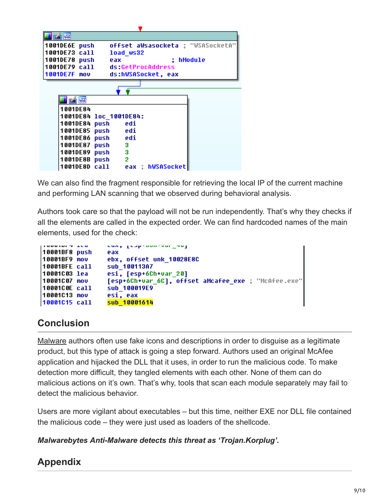| 1001DE6E push                      | offset aWsasocketa ; "WSASocketA" |
|------------------------------------|-----------------------------------|
| 1001DE73 call<br>load ws32         |                                   |
| 1001DE78 push<br>eax               | ; hModule                         |
| 1001DE79 call ds:GetProcAddress    |                                   |
| 1001DE7F mov<br>ds:hWSASocket, eax |                                   |
|                                    |                                   |
|                                    |                                   |
| 凶降                                 |                                   |
| 1001DE84                           |                                   |
| 1001DE84 1oc 1001DE84:             |                                   |
| 1001DE84 push edi                  |                                   |
| 1001DE85 push edi                  |                                   |
| 1001DE86 push edi                  |                                   |
| 1001DE87 push 3                    |                                   |
| 1001DE89 push<br>- 3               |                                   |
| 2<br>1001DE8B push                 |                                   |
| 1001DE8D call                      | eax ; hWSASocket                  |
|                                    |                                   |

We can also find the fragment responsible for retrieving the local IP of the current machine and performing LAN scanning that we observed during behavioral analysis.

Authors took care so that the payload will not be run independently. That's why they checks if all the elements are called in the expected order. We can find hardcoded names of the main elements, used for the check:

| 110001017200  | can, proproductor maj                               |
|---------------|-----------------------------------------------------|
| 10001BF8 push | eax                                                 |
| 10001BF9 mov  | ebx, offset unk 10028E8C                            |
| 10001BFE call | sub 100113A7                                        |
| 10001C03 lea  | esi, [esp+6Ch+var 20]                               |
| 10001C07 mov  | [esp+6Ch+var_6C], offset aMcafee_exe ; "McAfee.exe" |
| 10001C0E call | sub 100019E9                                        |
| 10001C13 mov  | esi, eax                                            |
| 10001C15 call | sub 10001614                                        |

### **Conclusion**

[Malware](https://www.malwarebytes.com/malware/) authors often use fake icons and descriptions in order to disguise as a legitimate product, but this type of attack is going a step forward. Authors used an original McAfee application and hijacked the DLL that it uses, in order to run the malicious code. To make detection more difficult, they tangled elements with each other. None of them can do malicious actions on it's own. That's why, tools that scan each module separately may fail to detect the malicious behavior.

Users are more vigilant about executables – but this time, neither EXE nor DLL file contained the malicious code – they were just used as loaders of the shellcode.

#### *Malwarebytes Anti-Malware detects this threat as 'Trojan.Korplug'.*

# **Appendix**